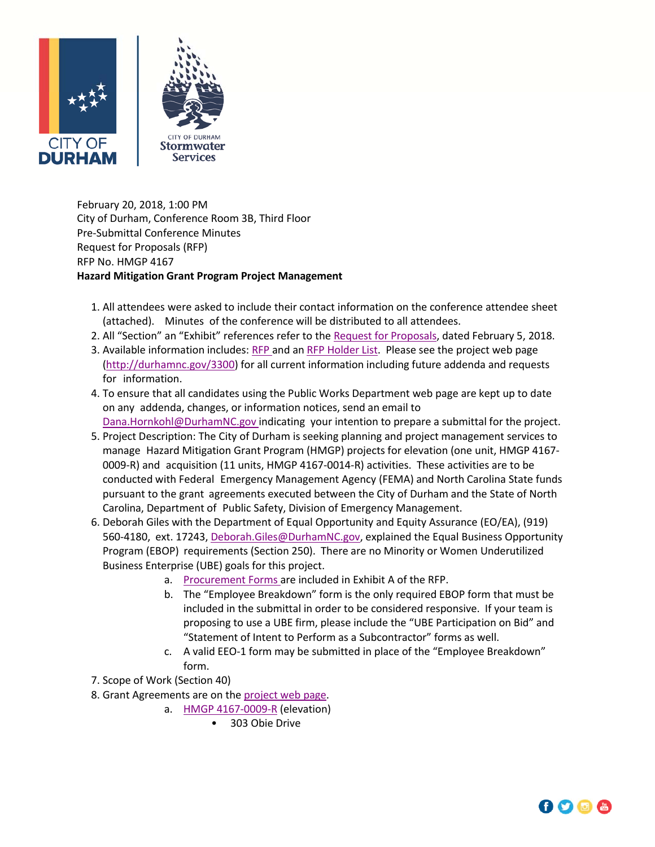



February 20, 2018, 1:00 PM City of Durham, Conference Room 3B, Third Floor Pre‐Submittal Conference Minutes Request for Proposals (RFP) RFP No. HMGP 4167 **Hazard Mitigation Grant Program Project Management**

- 1. All attendees were asked to include their contact information on the conference attendee sheet (attached). Minutes of the conference will be distributed to all attendees.
- 2. All "Section" an "Exhibit" references refer to the Request for [Proposals](http://durhamnc.gov/DocumentCenter/Home/View/19747), dated February 5, 2018.
- 3. Available information includes: [RFP](http://durhamnc.gov/DocumentCenter/Home/View/19747) and an RFP [Holder](http://durhamnc.gov/DocumentCenter/View/20284) List. Please see the project web page (http://durhamnc.gov/3300) for all current information including future addenda and requests for information.
- 4. To ensure that all candidates using the Public Works Department web page are kept up to date on any addenda, changes, or information notices, send an email to Dana.Hornkohl@DurhamNC.gov indicating your intention to prepare a submittal for the project.
- 5. Project Description: The City of Durham is seeking planning and project management services to manage Hazard Mitigation Grant Program (HMGP) projects for elevation (one unit, HMGP 4167‐ 0009-R) and acquisition (11 units, HMGP 4167-0014-R) activities. These activities are to be conducted with Federal Emergency Management Agency (FEMA) and North Carolina State funds pursuant to the grant agreements executed between the City of Durham and the State of North Carolina, Department of Public Safety, Division of Emergency Management.
- 6. Deborah Giles with the Department of Equal Opportunity and Equity Assurance (EO/EA), (919) 560-4180, ext. 17243, Deborah. Giles@DurhamNC.gov, explained the Equal Business Opportunity Program (EBOP) requirements (Section 250). There are no Minority or Women Underutilized Business Enterprise (UBE) goals for this project.
	- a. [Procurement](http://durhamnc.gov/DocumentCenter/View/17793) Forms are included in Exhibit A of the RFP.
	- b. The "Employee Breakdown" form is the only required EBOP form that must be included in the submittal in order to be considered responsive. If your team is proposing to use a UBE firm, please include the "UBE Participation on Bid" and "Statement of Intent to Perform as a Subcontractor" forms as well.
	- c. A valid EEO‐1 form may be submitted in place of the "Employee Breakdown" form.
- 7. Scope of Work (Section 40)
- 8. Grant Agreements are on the [project](http://durhamnc.gov/3300) web page.
	- a. [HMGP](http://durhamnc.gov/DocumentCenter/View/19701) 4167‐0009‐R (elevation)
		- 303 Obie Drive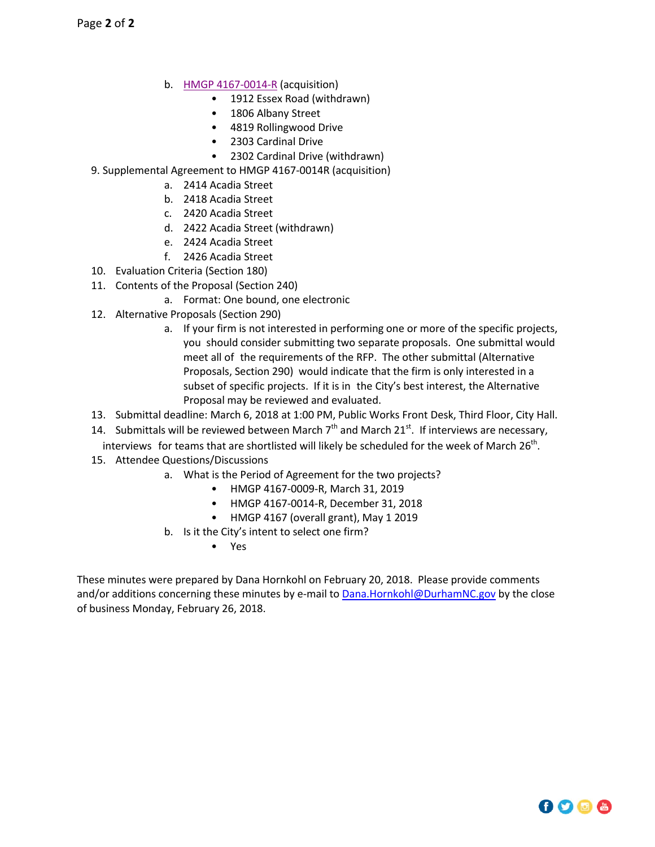- b. [HMGP](http://durhamnc.gov/DocumentCenter/View/19903) 4167‐0014‐R (acquisition)
	- 1912 Essex Road (withdrawn)
	- 1806 Albany Street
	- 4819 Rollingwood Drive
	- 2303 Cardinal Drive
	- 2302 Cardinal Drive (withdrawn)
- 9. Supplemental Agreement to HMGP 4167‐0014R (acquisition)
	- a. 2414 Acadia Street
	- b. 2418 Acadia Street
	- c. 2420 Acadia Street
	- d. 2422 Acadia Street (withdrawn)
	- e. 2424 Acadia Street
	- f. 2426 Acadia Street
- 10. Evaluation Criteria (Section 180)
- 11. Contents of the Proposal (Section 240)
	- a. Format: One bound, one electronic
- 12. Alternative Proposals (Section 290)
	- a. If your firm is not interested in performing one or more of the specific projects, you should consider submitting two separate proposals. One submittal would meet all of the requirements of the RFP. The other submittal (Alternative Proposals, Section 290) would indicate that the firm is only interested in a subset of specific projects. If it is in the City's best interest, the Alternative Proposal may be reviewed and evaluated.
- 13. Submittal deadline: March 6, 2018 at 1:00 PM, Public Works Front Desk, Third Floor, City Hall.
- 14. Submittals will be reviewed between March  $7<sup>th</sup>$  and March  $21<sup>st</sup>$ . If interviews are necessary, interviews for teams that are shortlisted will likely be scheduled for the week of March  $26<sup>th</sup>$ .
- 15. Attendee Questions/Discussions
	- a. What is the Period of Agreement for the two projects?
		- HMGP 4167‐0009‐R, March 31, 2019
		- HMGP 4167‐0014‐R, December 31, 2018
		- HMGP 4167 (overall grant), May 1 2019
		- b. Is it the City's intent to select one firm?
			- Yes

These minutes were prepared by Dana Hornkohl on February 20, 2018. Please provide comments and/or additions concerning these minutes by e-mail to **Dana.Hornkohl@DurhamNC.gov** by the close of business Monday, February 26, 2018.